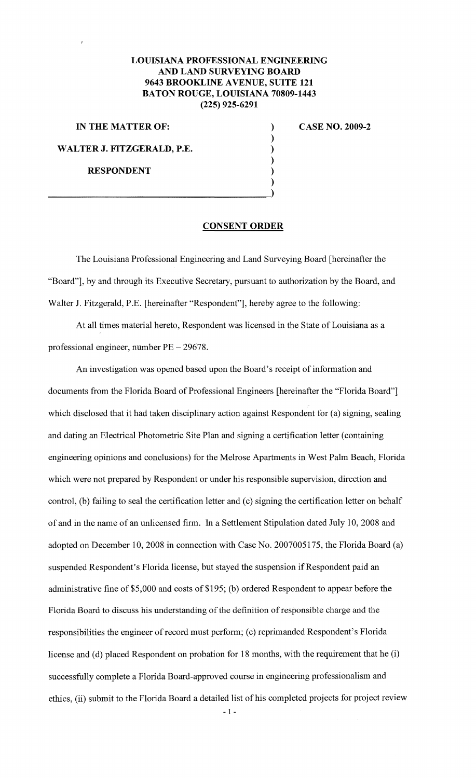## **LOUISIANA PROFESSIONAL ENGINEERING AND LAND SURVEYING BOARD 9643 BROOKLINE A VENUE, SUITE 121 BATON ROUGE, LOUISIANA 70809-1443 (225) 925-6291**

**IN THE MATTER OF: WALTER J. FITZGERALD, P.E. RESPONDENT** 

--~==================~----------------====~)

**CASE NO. 2009-2** 

## **CONSENT ORDER**

) ) ) ) ) )

The Louisiana Professional Engineering and Land Surveying Board [hereinafter the "Board"], by and through its Executive Secretary, pursuant to authorization by the Board, and Walter J. Fitzgerald, P.E. [hereinafter "Respondent"], hereby agree to the following:

At all times material hereto, Respondent was licensed in the State of Louisiana as a professional engineer, number PE- 29678.

An investigation was opened based upon the Board's receipt of information and documents from the Florida Board of Professional Engineers [hereinafter the "Florida Board"] which disclosed that it had taken disciplinary action against Respondent for (a) signing, sealing and dating an Electrical Photometric Site Plan and signing a certification letter (containing engineering opinions and conclusions) for the Melrose Apartments in West Palm Beach, Florida which were not prepared by Respondent or under his responsible supervision, direction and control, (b) failing to seal the certification letter and (c) signing the certification letter on behalf of and in the name of an unlicensed firm. In a Settlement Stipulation dated July 10, 2008 and adopted on December 10, 2008 in connection with Case No. 2007005175, the Florida Board (a) suspended Respondent's Florida license, but stayed the suspension if Respondent paid an administrative fine of \$5,000 and costs of \$195; (b) ordered Respondent to appear before the Florida Board to discuss his understanding of the definition of responsible charge and the responsibilities the engineer of record must perform; (c) reprimanded Respondent's Florida license and (d) placed Respondent on probation for 18 months, with the requirement that he (i) successfully complete a Florida Board-approved course in engineering professionalism and ethics, (ii) submit to the Florida Board a detailed list of his completed projects for project review

 $-1 -$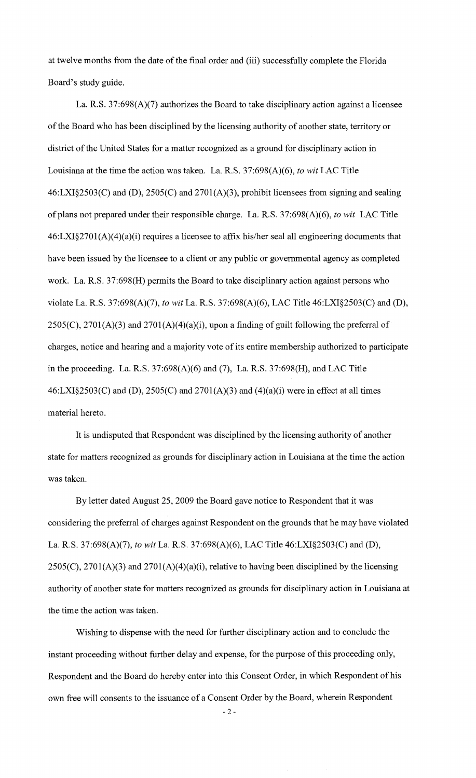at twelve months from the date of the final order and (iii) successfully complete the Florida Board's study guide.

La. R.S. 37:698(A)(7) authorizes the Board to take disciplinary action against a licensee of the Board who has been disciplined by the licensing authority of another state, territory or district of the United States for a matter recognized as a ground for disciplinary action in Louisiana at the time the action was taken. La. R.S. 37:698(A)(6), *to wit* LAC Title 46:LXI§2503(C) and (D), 2505(C) and 2701 (A)(3), prohibit licensees from signing and sealing of plans not prepared under their responsible charge. La. R.S. 37:698(A)(6), *to wit* LAC Title 46:LXI§270l(A)(4)(a)(i) requires a licensee to affix his/her seal all engineering documents that have been issued by the licensee to a client or any public or governmental agency as completed work. La. R.S. 37:698(H) permits the Board to take disciplinary action against persons who violate La. R.S. 37:698(A)(7), *to wit* La. R.S. 37:698(A)(6), LAC Title 46:LXI§2503(C) and (D),  $2505(C)$ ,  $2701(A)(3)$  and  $2701(A)(4)(a)(i)$ , upon a finding of guilt following the preferral of charges, notice and hearing and a majority vote of its entire membership authorized to participate in the proceeding. La. R.S. 37:698(A)(6) and (7), La. R.S. 37:698(H), and LAC Title  $46: LXI§2503(C)$  and (D),  $2505(C)$  and  $2701(A)(3)$  and  $(4)(a)(i)$  were in effect at all times material hereto.

It is undisputed that Respondent was disciplined by the licensing authority of another state for matters recognized as grounds for disciplinary action in Louisiana at the time the action was taken.

By letter dated August 25, 2009 the Board gave notice to Respondent that it was considering the preferral of charges against Respondent on the grounds that he may have violated La. R.S. 37:698(A)(7), *to wit* La. R.S. 37:698(A)(6), LAC Title 46:LXI§2503(C) and (D),  $2505(C)$ ,  $2701(A)(3)$  and  $2701(A)(4)(a)(i)$ , relative to having been disciplined by the licensing authority of another state for matters recognized as grounds for disciplinary action in Louisiana at the time the action was taken.

Wishing to dispense with the need for further disciplinary action and to conclude the instant proceeding without further delay and expense, for the purpose of this proceeding only, Respondent and the Board do hereby enter into this Consent Order, in which Respondent of his own free will consents to the issuance of a Consent Order by the Board, wherein Respondent

- 2-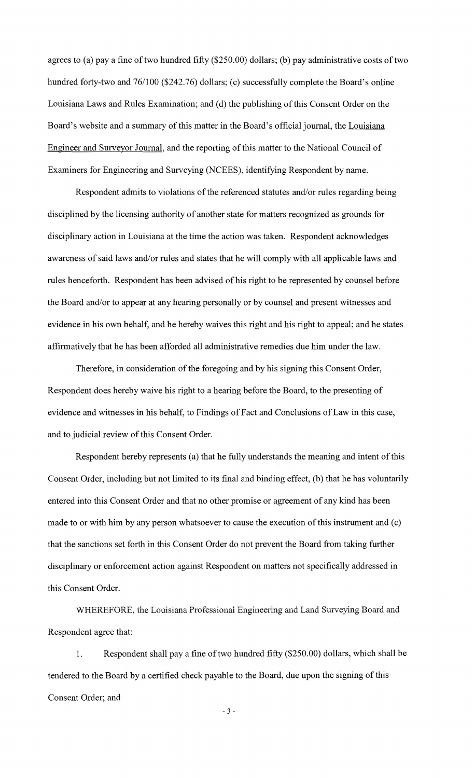agrees to (a) pay a fine of two hundred fifty (\$250.00) dollars; (b) pay administrative costs of two hundred forty-two and 76/100 (\$242.76) dollars; (c) successfully complete the Board's online Louisiana Laws and Rules Examination; and (d) the publishing of this Consent Order on the Board's website and a summary of this matter in the Board's official journal, the Louisiana Engineer and Surveyor Journal, and the reporting of this matter to the National Council of Examiners for Engineering and Surveying (NCEES), identifying Respondent by name.

Respondent admits to violations of the referenced statutes and/or rules regarding being disciplined by the licensing authority of another state for matters recognized as grounds for disciplinary action in Louisiana at the time the action was taken. Respondent acknowledges awareness of said laws and/or rules and states that he will comply with all applicable laws and rules henceforth. Respondent has been advised of his right to be represented by counsel before the Board and/or to appear at any hearing personally or by counsel and present witnesses and evidence in his own behalf, and he hereby waives this right and his right to appeal; and he states affirmatively that he has been afforded all administrative remedies due him under the law.

Therefore, in consideration of the foregoing and by his signing this Consent Order, Respondent does hereby waive his right to a hearing before the Board, to the presenting of evidence and witnesses in his behalf, to Findings of Fact and Conclusions of Law in this case, and to judicial review of this Consent Order.

Respondent hereby represents (a) that he fully understands the meaning and intent of this Consent Order, including but not limited to its final and binding effect, (b) that he has voluntarily entered into this Consent Order and that no other promise or agreement of any kind has been made to or with him by any person whatsoever to cause the execution of this instrument and (c) that the sanctions set forth in this Consent Order do not prevent the Board from taking further disciplinary or enforcement action against Respondent on matters not specifically addressed in this Consent Order.

WHEREFORE, the Louisiana Professional Engineering and Land Surveying Board and Respondent agree that:

1. Respondent shall pay a fine of two hundred fifty (\$250.00) dollars, which shall be tendered to the Board by a certified check payable to the Board, due upon the signing of this Consent Order; and

- 3-